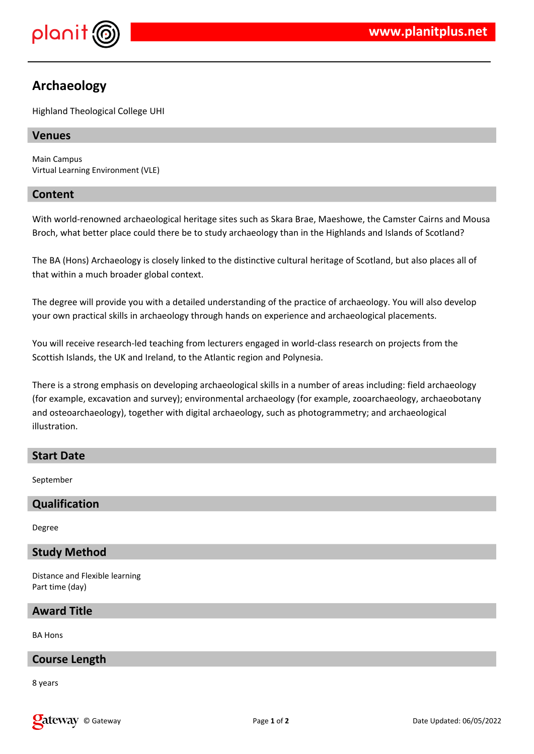

# **Archaeology**

Highland Theological College UHI

# **Venues**

Main Campus Virtual Learning Environment (VLE)

# **Content**

With world-renowned archaeological heritage sites such as Skara Brae, Maeshowe, the Camster Cairns and Mousa Broch, what better place could there be to study archaeology than in the Highlands and Islands of Scotland?

The BA (Hons) Archaeology is closely linked to the distinctive cultural heritage of Scotland, but also places all of that within a much broader global context.

The degree will provide you with a detailed understanding of the practice of archaeology. You will also develop your own practical skills in archaeology through hands on experience and archaeological placements.

You will receive research-led teaching from lecturers engaged in world-class research on projects from the Scottish Islands, the UK and Ireland, to the Atlantic region and Polynesia.

There is a strong emphasis on developing archaeological skills in a number of areas including: field archaeology (for example, excavation and survey); environmental archaeology (for example, zooarchaeology, archaeobotany and osteoarchaeology), together with digital archaeology, such as photogrammetry; and archaeological illustration.

# **Start Date**

September

# **Qualification**

Degree

# **Study Method**

Distance and Flexible learning Part time (day)

### **Award Title**

BA Hons

# **Course Length**

8 years